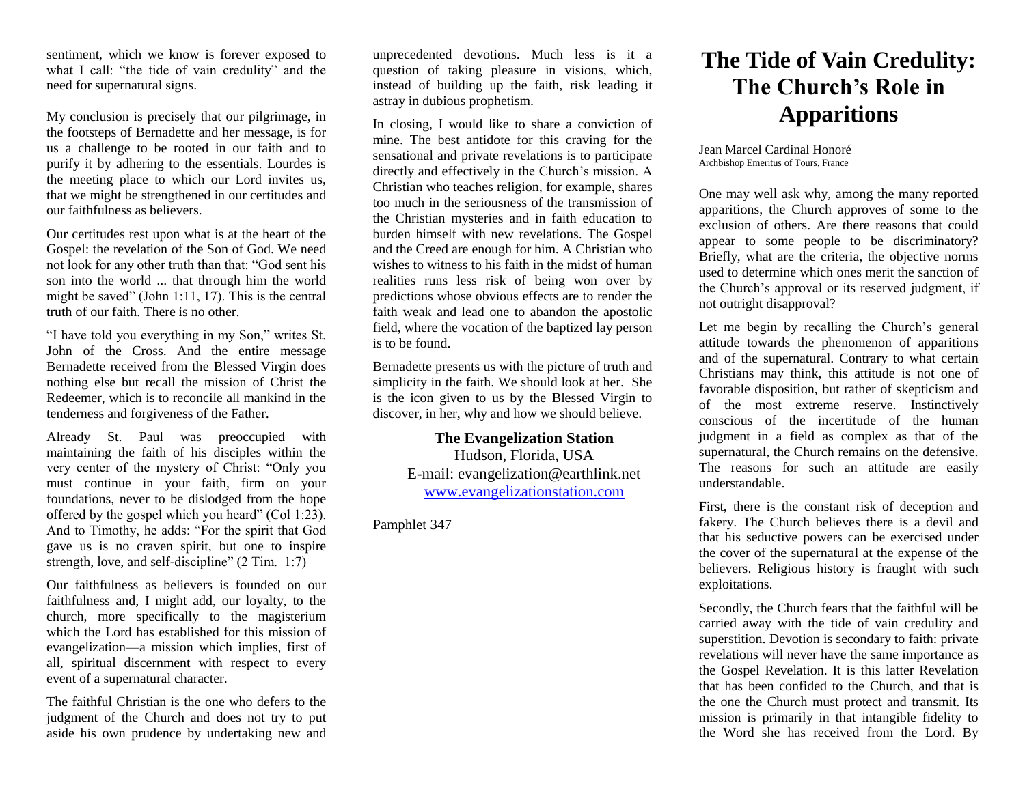sentiment, which we know is forever exposed to what I call: "the tide of vain credulity" and the need for supernatural signs.

My conclusion is precisely that our pilgrimage, in the footsteps of Bernadette and her message, is for us a challenge to be rooted in our faith and to purify it by adhering to the essentials. Lourdes is the meeting place to which our Lord invites us, that we might be strengthened in our certitudes and our faithfulness as believers.

Our certitudes rest upon what is at the heart of the Gospel: the revelation of the Son of God. We need not look for any other truth than that: "God sent his son into the world ... that through him the world might be saved" (John 1:11, 17). This is the central truth of our faith. There is no other.

"I have told you everything in my Son," writes St. John of the Cross. And the entire message Bernadette received from the Blessed Virgin does nothing else but recall the mission of Christ the Redeemer, which is to reconcile all mankind in the tenderness and forgiveness of the Father.

Already St. Paul was preoccupied with maintaining the faith of his disciples within the very center of the mystery of Christ: "Only you must continue in your faith, firm on your foundations, never to be dislodged from the hope offered by the gospel which you heard" (Col 1:23). And to Timothy, he adds: "For the spirit that God gave us is no craven spirit, but one to inspire strength, love, and self-discipline" (2 Tim. 1:7)

Our faithfulness as believers is founded on our faithfulness and, I might add, our loyalty, to the church, more specifically to the magisterium which the Lord has established for this mission of evangelization—a mission which implies, first of all, spiritual discernment with respect to every event of a supernatural character.

The faithful Christian is the one who defers to the judgment of the Church and does not try to put aside his own prudence by undertaking new and

unprecedented devotions. Much less is it a question of taking pleasure in visions, which, instead of building up the faith, risk leading it astray in dubious prophetism.

In closing, I would like to share a conviction of mine. The best antidote for this craving for the sensational and private revelations is to participate directly and effectively in the Church's mission. A Christian who teaches religion, for example, shares too much in the seriousness of the transmission of the Christian mysteries and in faith education to burden himself with new revelations. The Gospel and the Creed are enough for him. A Christian who wishes to witness to his faith in the midst of human realities runs less risk of being won over by predictions whose obvious effects are to render the faith weak and lead one to abandon the apostolic field, where the vocation of the baptized lay person is to be found.

Bernadette presents us with the picture of truth and simplicity in the faith. We should look at her. She is the icon given to us by the Blessed Virgin to discover, in her, why and how we should believe.

> **The Evangelization Station**  Hudson, Florida, USA E-mail: evangelization@earthlink.net [www.evangelizationstation.com](http://www.pjpiisoe.org/)

Pamphlet 347

## **The Tide of Vain Credulity: The Church's Role in Apparitions**

Jean Marcel Cardinal Honoré Archbishop Emeritus of Tours, France

One may well ask why, among the many reported apparitions, the Church approves of some to the exclusion of others. Are there reasons that could appear to some people to be discriminatory? Briefly, what are the criteria, the objective norms used to determine which ones merit the sanction of the Church's approval or its reserved judgment, if not outright disapproval?

Let me begin by recalling the Church's general attitude towards the phenomenon of apparitions and of the supernatural. Contrary to what certain Christians may think, this attitude is not one of favorable disposition, but rather of skepticism and of the most extreme reserve. Instinctively conscious of the incertitude of the human judgment in a field as complex as that of the supernatural, the Church remains on the defensive. The reasons for such an attitude are easily understandable.

First, there is the constant risk of deception and fakery. The Church believes there is a devil and that his seductive powers can be exercised under the cover of the supernatural at the expense of the believers. Religious history is fraught with such exploitations.

Secondly, the Church fears that the faithful will be carried away with the tide of vain credulity and superstition. Devotion is secondary to faith: private revelations will never have the same importance as the Gospel Revelation. It is this latter Revelation that has been confided to the Church, and that is the one the Church must protect and transmit. Its mission is primarily in that intangible fidelity to the Word she has received from the Lord. By